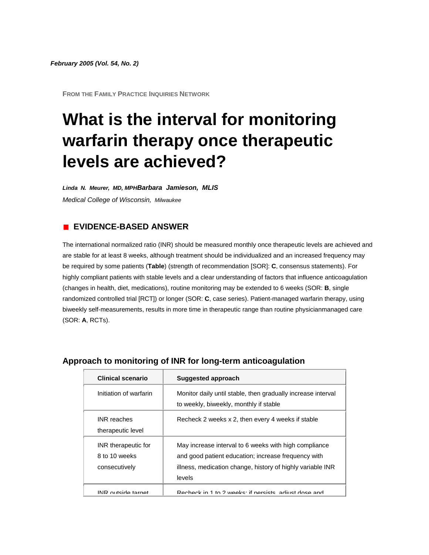**FROM THE FAMILY PRACTICE INQUIRIES NETWORK**

# **What is the interval for monitoring warfarin therapy once therapeutic levels are achieved?**

*Linda N. Meurer, MD, MPHBarbara Jamieson, MLIS Medical College of Wisconsin, Milwaukee*

# **EVIDENCE-BASED ANSWER**

The international normalized ratio (INR) should be measured monthly once therapeutic levels are achieved and are stable for at least 8 weeks, although treatment should be individualized and an increased frequency may be required by some patients (**[Table](http://www.jfponline.com/Pages.asp?AID=1870&issue=February_2005&UID=#5402JFP_ClinicalInquiries4-tab1)**) (strength of recommendation [SOR]: **C**, consensus statements). For highly compliant patients with stable levels and a clear understanding of factors that influence anticoagulation (changes in health, diet, medications), routine monitoring may be extended to 6 weeks (SOR: **B**, single randomized controlled trial [RCT]) or longer (SOR: **C**, case series). Patient-managed warfarin therapy, using biweekly self-measurements, results in more time in therapeutic range than routine physicianmanaged care (SOR: **A**, RCTs).

| <b>Clinical scenario</b>                              | <b>Suggested approach</b>                                                                                                                                                            |
|-------------------------------------------------------|--------------------------------------------------------------------------------------------------------------------------------------------------------------------------------------|
| Initiation of warfarin                                | Monitor daily until stable, then gradually increase interval<br>to weekly, biweekly, monthly if stable                                                                               |
| <b>INR</b> reaches<br>therapeutic level               | Recheck 2 weeks x 2, then every 4 weeks if stable                                                                                                                                    |
| INR therapeutic for<br>8 to 10 weeks<br>consecutively | May increase interval to 6 weeks with high compliance<br>and good patient education; increase frequency with<br>illness, medication change, history of highly variable INR<br>levels |
| INIR outside target                                   | Rechack in 1 to 2 weeks: if persists adjust dose and                                                                                                                                 |

## **Approach to monitoring of INR for long-term anticoagulation**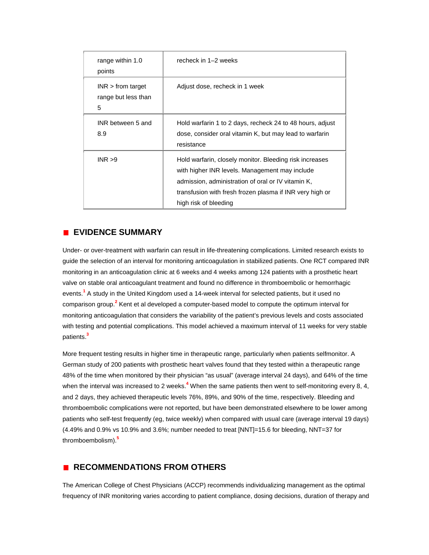| range within 1.0<br>points                      | recheck in 1-2 weeks                                                                                                                                                                                                                                 |
|-------------------------------------------------|------------------------------------------------------------------------------------------------------------------------------------------------------------------------------------------------------------------------------------------------------|
| $INR$ > from target<br>range but less than<br>5 | Adjust dose, recheck in 1 week                                                                                                                                                                                                                       |
| INR between 5 and<br>8.9                        | Hold warfarin 1 to 2 days, recheck 24 to 48 hours, adjust<br>dose, consider oral vitamin K, but may lead to warfarin<br>resistance                                                                                                                   |
| INR > 9                                         | Hold warfarin, closely monitor. Bleeding risk increases<br>with higher INR levels. Management may include<br>admission, administration of oral or IV vitamin K,<br>transfusion with fresh frozen plasma if INR very high or<br>high risk of bleeding |

# **EVIDENCE SUMMARY**

Under- or over-treatment with warfarin can result in life-threatening complications. Limited research exists to guide the selection of an interval for monitoring anticoagulation in stabilized patients. One RCT compared INR monitoring in an anticoagulation clinic at 6 weeks and 4 weeks among 124 patients with a prosthetic heart valve on stable oral anticoagulant treatment and found no difference in thromboembolic or hemorrhagic events[.](http://www.jfponline.com/Pages.asp?AID=1870&issue=February_2005&UID=#bib1)**<sup>1</sup>** A study in the United Kingdom used a 14-week interval for selected patients, but it used no comparison grou[p.](http://www.jfponline.com/Pages.asp?AID=1870&issue=February_2005&UID=#bib2)**<sup>2</sup>** Kent et al developed a computer-based model to compute the optimum interval for monitoring anticoagulation that considers the variability of the patient's previous levels and costs associated with testing and potential complications. This model achieved a maximum interval of 11 weeks for very stable patient[s.](http://www.jfponline.com/Pages.asp?AID=1870&issue=February_2005&UID=#bib3)**<sup>3</sup>**

More frequent testing results in higher time in therapeutic range, particularly when patients selfmonitor. A German study of 200 patients with prosthetic heart valves found that they tested within a therapeutic range 48% of the time when monitored by their physician "as usual" (average interval 24 days), and 64% of the time when the interval was increased to 2 week[s.](http://www.jfponline.com/Pages.asp?AID=1870&issue=February_2005&UID=#bib4)<sup>4</sup> When the same patients then went to self-monitoring every 8, 4, and 2 days, they achieved therapeutic levels 76%, 89%, and 90% of the time, respectively. Bleeding and thromboembolic complications were not reported, but have been demonstrated elsewhere to be lower among patients who self-test frequently (eg, twice weekly) when compared with usual care (average interval 19 days) (4.49% and 0.9% vs 10.9% and 3.6%; number needed to treat [NNT]=15.6 for bleeding, NNT=37 for thromboembolism[\).](http://www.jfponline.com/Pages.asp?AID=1870&issue=February_2005&UID=#bib5)**<sup>5</sup>**

# **RECOMMENDATIONS FROM OTHERS**

The American College of Chest Physicians (ACCP) recommends individualizing management as the optimal frequency of INR monitoring varies according to patient compliance, dosing decisions, duration of therapy and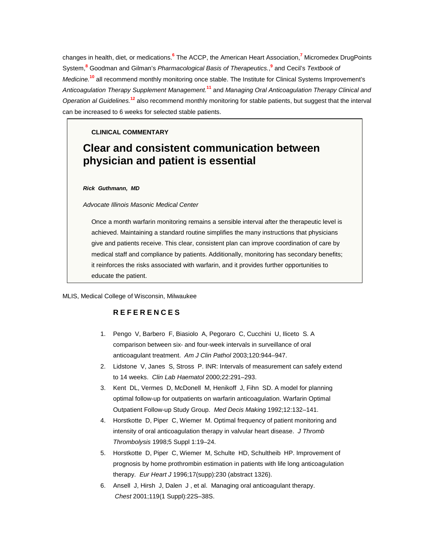changes in health, diet, or medication[s.](http://www.jfponline.com/Pages.asp?AID=1870&issue=February_2005&UID=#bib6)**<sup>6</sup>** The ACCP, the American Heart Associatio[n,](http://www.jfponline.com/Pages.asp?AID=1870&issue=February_2005&UID=#bib7)**<sup>7</sup>** Micromedex DrugPoints Syste[m,](http://www.jfponline.com/Pages.asp?AID=1870&issue=February_2005&UID=#bib8)**<sup>8</sup>** Goodman and Gilman's *Pharmacological Basis of Therapeutics.*[,](http://www.jfponline.com/Pages.asp?AID=1870&issue=February_2005&UID=#bib9) **<sup>9</sup>** and Cecil's *Textbook of Medicine.***[10](http://www.jfponline.com/Pages.asp?AID=1870&issue=February_2005&UID=#bib10)** all recommend monthly monitoring once stable. The Institute for Clinical Systems Improvement's *Anticoagulation Therapy Supplement Management.***[11](http://www.jfponline.com/Pages.asp?AID=1870&issue=February_2005&UID=#bib11)** and *Managing Oral Anticoagulation Therapy Clinical and Operation al Guidelines.***[12](http://www.jfponline.com/Pages.asp?AID=1870&issue=February_2005&UID=#bib12)** also recommend monthly monitoring for stable patients, but suggest that the interval can be increased to 6 weeks for selected stable patients.

#### **CLINICAL COMMENTARY**

# **Clear and consistent communication between physician and patient is essential**

#### *Rick Guthmann, MD*

*Advocate Illinois Masonic Medical Center*

Once a month warfarin monitoring remains a sensible interval after the therapeutic level is achieved. Maintaining a standard routine simplifies the many instructions that physicians give and patients receive. This clear, consistent plan can improve coordination of care by medical staff and compliance by patients. Additionally, monitoring has secondary benefits; it reinforces the risks associated with warfarin, and it provides further opportunities to educate the patient.

#### MLIS, Medical College of Wisconsin, Milwaukee

### **REFERENCES**

- 1. Pengo V, Barbero F, Biasiolo A, Pegoraro C, Cucchini U, Iliceto S. A comparison between six- and four-week intervals in surveillance of oral anticoagulant treatment. *Am J Clin Pathol* 2003;120:944–947.
- 2. Lidstone V, Janes S, Stross P. INR: Intervals of measurement can safely extend to 14 weeks. *Clin Lab Haematol* 2000;22:291–293.
- 3. Kent DL, Vermes D, McDonell M, Henikoff J, Fihn SD. A model for planning optimal follow-up for outpatients on warfarin anticoagulation. Warfarin Optimal Outpatient Follow-up Study Group. *Med Decis Making* 1992;12:132–141.
- 4. Horstkotte D, Piper C, Wiemer M. Optimal frequency of patient monitoring and intensity of oral anticoagulation therapy in valvular heart disease. *J Thromb Thrombolysis* 1998;5 Suppl 1:19–24.
- 5. Horstkotte D, Piper C, Wiemer M, Schulte HD, Schultheib HP. Improvement of prognosis by home prothrombin estimation in patients with life long anticoagulation therapy. *Eur Heart J* 1996;17(supp):230 (abstract 1326).
- 6. Ansell J, Hirsh J, Dalen J , et al. Managing oral anticoagulant therapy. *Chest* 2001;119(1 Suppl):22S–38S.